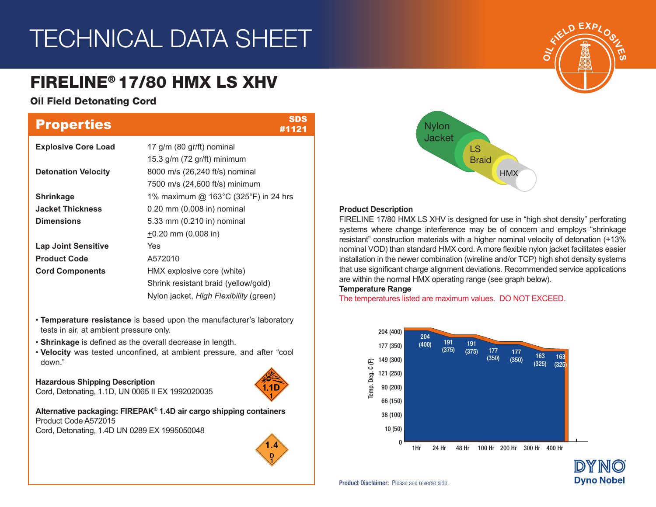# TECHNICAL DATA SHEET

# FIRELINE® 17/80 HMX LS XHV

## Oil Field Detonating Cord

| <b>Properties</b>          | <b>SDS</b><br>#1121                    |
|----------------------------|----------------------------------------|
| <b>Explosive Core Load</b> | 17 g/m (80 gr/ft) nominal              |
|                            | 15.3 $g/m$ (72 $gr/ft$ ) minimum       |
| <b>Detonation Velocity</b> | 8000 m/s (26,240 ft/s) nominal         |
|                            | 7500 m/s (24,600 ft/s) minimum         |
| <b>Shrinkage</b>           | 1% maximum @ 163°C (325°F) in 24 hrs   |
| <b>Jacket Thickness</b>    | 0.20 mm (0.008 in) nominal             |
| <b>Dimensions</b>          | 5.33 mm (0.210 in) nominal             |
|                            | $\pm 0.20$ mm (0.008 in)               |
| <b>Lap Joint Sensitive</b> | Yes                                    |
| <b>Product Code</b>        | A572010                                |
| <b>Cord Components</b>     | HMX explosive core (white)             |
|                            | Shrink resistant braid (yellow/gold)   |
|                            | Nylon jacket, High Flexibility (green) |

- **Temperature resistance** is based upon the manufacturer's laboratory tests in air, at ambient pressure only.
- **Shrinkage** is defined as the overall decrease in length.
- **Velocity** was tested unconfined, at ambient pressure, and after "cool down."

## **Hazardous Shipping Description**

Cord, Detonating, 1.1D, UN 0065 II EX 1992020035

**Alternative packaging: FIREPAK® 1.4D air cargo shipping containers** Product Code A572015 Cord, Detonating, 1.4D UN 0289 EX 1995050048





### **Product Description**

FIRELINE 17/80 HMX LS XHV is designed for use in "high shot density" perforating systems where change interference may be of concern and employs "shrinkage resistant" construction materials with a higher nominal velocity of detonation (+13% nominal VOD) than standard HMX cord. A more flexible nylon jacket facilitates easier installation in the newer combination (wireline and/or TCP) high shot density systems that use significant charge alignment deviations. Recommended service applications are within the normal HMX operating range (see graph below).

**Temperature Range**

The temperatures listed are maximum values. DO NOT EXCEED.